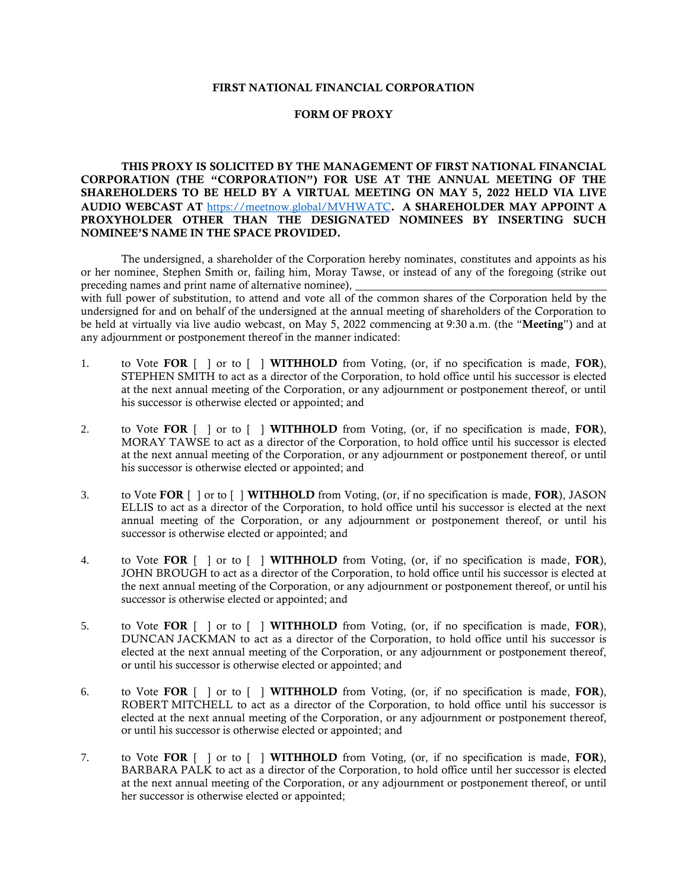## FIRST NATIONAL FINANCIAL CORPORATION

## FORM OF PROXY

THIS PROXY IS SOLICITED BY THE MANAGEMENT OF FIRST NATIONAL FINANCIAL CORPORATION (THE "CORPORATION") FOR USE AT THE ANNUAL MEETING OF THE SHAREHOLDERS TO BE HELD BY A VIRTUAL MEETING ON MAY **5**, 2022 HELD VIA LIVE AUDIO WEBCAST AT <https://meetnow.global/MVHWATC>. A SHAREHOLDER MAY APPOINT A PROXYHOLDER OTHER THAN THE DESIGNATED NOMINEES BY INSERTING SUCH NOMINEE'S NAME IN THE SPACE PROVIDED.

The undersigned, a shareholder of the Corporation hereby nominates, constitutes and appoints as his or her nominee, Stephen Smith or, failing him, Moray Tawse, or instead of any of the foregoing (strike out preceding names and print name of alternative nominee),

with full power of substitution, to attend and vote all of the common shares of the Corporation held by the undersigned for and on behalf of the undersigned at the annual meeting of shareholders of the Corporation to be held at virtually via live audio webcast, on May 5, 2022 commencing at 9:30 a.m. (the "Meeting") and at any adjournment or postponement thereof in the manner indicated:

- 1. to Vote FOR  $\lceil \ \rceil$  or to  $\lceil \ \rceil$  WITHHOLD from Voting, (or, if no specification is made, FOR), STEPHEN SMITH to act as a director of the Corporation, to hold office until his successor is elected at the next annual meeting of the Corporation, or any adjournment or postponement thereof, or until his successor is otherwise elected or appointed; and
- 2. to Vote FOR  $\lceil \cdot \rceil$  or to  $\lceil \cdot \rceil$  WITHHOLD from Voting, (or, if no specification is made, FOR), MORAY TAWSE to act as a director of the Corporation, to hold office until his successor is elected at the next annual meeting of the Corporation, or any adjournment or postponement thereof, or until his successor is otherwise elected or appointed; and
- 3. to Vote FOR [ ] or to [ ] WITHHOLD from Voting, (or, if no specification is made, FOR), JASON ELLIS to act as a director of the Corporation, to hold office until his successor is elected at the next annual meeting of the Corporation, or any adjournment or postponement thereof, or until his successor is otherwise elected or appointed; and
- 4. to Vote FOR  $\lceil \cdot \rceil$  or to  $\lceil \cdot \rceil$  WITHHOLD from Voting, (or, if no specification is made, FOR), JOHN BROUGH to act as a director of the Corporation, to hold office until his successor is elected at the next annual meeting of the Corporation, or any adjournment or postponement thereof, or until his successor is otherwise elected or appointed; and
- 5. to Vote FOR  $\lceil \cdot \rceil$  or to  $\lceil \cdot \rceil$  WITHHOLD from Voting, (or, if no specification is made, FOR), DUNCAN JACKMAN to act as a director of the Corporation, to hold office until his successor is elected at the next annual meeting of the Corporation, or any adjournment or postponement thereof, or until his successor is otherwise elected or appointed; and
- 6. to Vote FOR [ ] or to [ ] WITHHOLD from Voting, (or, if no specification is made, FOR), ROBERT MITCHELL to act as a director of the Corporation, to hold office until his successor is elected at the next annual meeting of the Corporation, or any adjournment or postponement thereof, or until his successor is otherwise elected or appointed; and
- 7. to Vote FOR  $\lceil \ \rceil$  or to  $\lceil \ \rceil$  WITHHOLD from Voting, (or, if no specification is made, FOR), BARBARA PALK to act as a director of the Corporation, to hold office until her successor is elected at the next annual meeting of the Corporation, or any adjournment or postponement thereof, or until her successor is otherwise elected or appointed;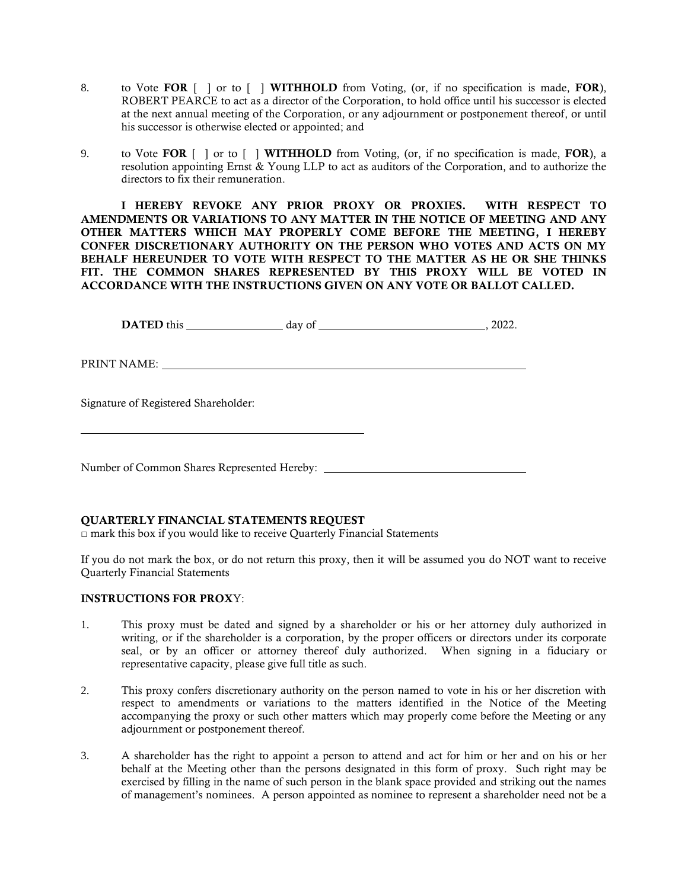- 8. to Vote FOR  $\lceil \cdot \rceil$  or to  $\lceil \cdot \rceil$  WITHHOLD from Voting, (or, if no specification is made, FOR), ROBERT PEARCE to act as a director of the Corporation, to hold office until his successor is elected at the next annual meeting of the Corporation, or any adjournment or postponement thereof, or until his successor is otherwise elected or appointed; and
- 9. to Vote FOR [ ] or to [ ] WITHHOLD from Voting, (or, if no specification is made, FOR), a resolution appointing Ernst & Young LLP to act as auditors of the Corporation, and to authorize the directors to fix their remuneration.

I HEREBY REVOKE ANY PRIOR PROXY OR PROXIES. WITH RESPECT TO AMENDMENTS OR VARIATIONS TO ANY MATTER IN THE NOTICE OF MEETING AND ANY OTHER MATTERS WHICH MAY PROPERLY COME BEFORE THE MEETING, I HEREBY CONFER DISCRETIONARY AUTHORITY ON THE PERSON WHO VOTES AND ACTS ON MY BEHALF HEREUNDER TO VOTE WITH RESPECT TO THE MATTER AS HE OR SHE THINKS FIT. THE COMMON SHARES REPRESENTED BY THIS PROXY WILL BE VOTED IN ACCORDANCE WITH THE INSTRUCTIONS GIVEN ON ANY VOTE OR BALLOT CALLED.

DATED this day of , 2022.

PRINT NAME:

Signature of Registered Shareholder:

Number of Common Shares Represented Hereby:

## QUARTERLY FINANCIAL STATEMENTS REQUEST

**□** mark this box if you would like to receive Quarterly Financial Statements

If you do not mark the box, or do not return this proxy, then it will be assumed you do NOT want to receive Quarterly Financial Statements

## INSTRUCTIONS FOR PROXY:

- 1. This proxy must be dated and signed by a shareholder or his or her attorney duly authorized in writing, or if the shareholder is a corporation, by the proper officers or directors under its corporate seal, or by an officer or attorney thereof duly authorized. When signing in a fiduciary or representative capacity, please give full title as such.
- 2. This proxy confers discretionary authority on the person named to vote in his or her discretion with respect to amendments or variations to the matters identified in the Notice of the Meeting accompanying the proxy or such other matters which may properly come before the Meeting or any adjournment or postponement thereof.
- 3. A shareholder has the right to appoint a person to attend and act for him or her and on his or her behalf at the Meeting other than the persons designated in this form of proxy. Such right may be exercised by filling in the name of such person in the blank space provided and striking out the names of management's nominees. A person appointed as nominee to represent a shareholder need not be a